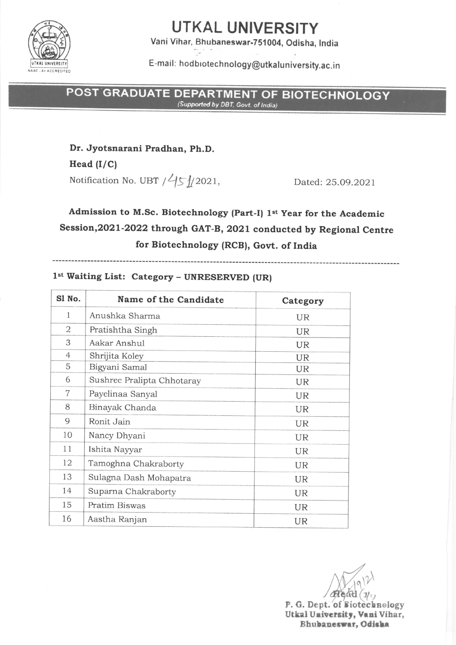

# UTKAL UNIVERSITY

Vani Vihar, Bhubaneswar.75l004, Odisha, lndia

E-mail: hodbiotechnology@utkaluniversity.ac.in

POST GRADUATE DEPARTMENT OF BIOTECHNOLOGY

Dr. Jyotsnarani Pradhan, Ph.D.

Head  $(I/C)$ Notification No. UBT  $/45/2021$ , Dated: 25.09.2021

## Admission to M.Sc. Biotechnology (Part-I) 1st Year for the Academic Session,2o2l-2ozz through GAT-B, 2o2L conducted by Regional centre for Biotechnology (RCB), Govt. of India

------------------------

#### lst Waiting List: Category - UNRESERVED (UR)

| Sl No.         | Name of the Candidate      | Category  |
|----------------|----------------------------|-----------|
| 1              | Anushka Sharma             | <b>UR</b> |
| 2              | Pratishtha Singh           | <b>UR</b> |
| 3              | Aakar Anshul               | UR        |
| 4              | Shrijita Koley             | <b>UR</b> |
| 5              | Bigyani Samal              | <b>UR</b> |
| 6              | Sushree Pralipta Chhotaray | <b>UR</b> |
| $\overline{7}$ | Payelinaa Sanyal           | UR        |
| 8              | Binayak Chanda             | UR        |
| 9              | Ronit Jain                 | <b>UR</b> |
| 10             | Nancy Dhyani               | UR        |
| 11             | Ishita Nayyar              | UR        |
| 12             | Tamoghna Chakraborty       | UR.       |
| 13             | Sulagna Dash Mohapatra     | <b>UR</b> |
| 14             | Suparna Chakraborty        | <b>UR</b> |
| 15             | Pratim Biswas              | UR.       |
| 16             | Aastha Ranjan              | UR        |

 $H$ e $\alpha$ d P. G. Dept. of Biotechnology Utkal University, Vani Vihar, Bhubaneswar, Odisha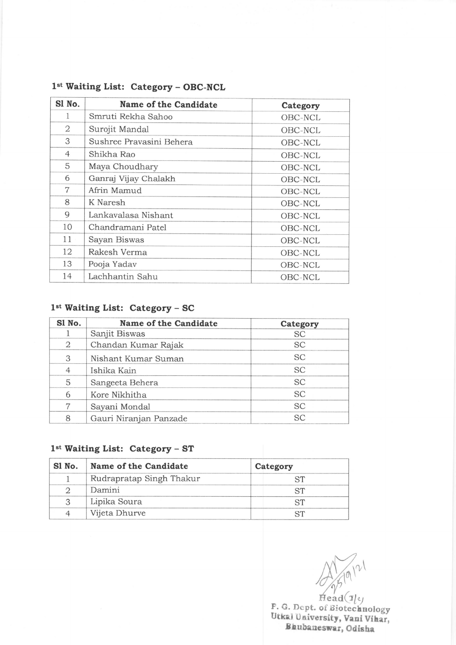| Sl No.         | Name of the Candidate    | Category |
|----------------|--------------------------|----------|
| 1              | Smruti Rekha Sahoo       | OBC-NCL  |
| 2              | Surojit Mandal           | OBC-NCL  |
| 3              | Sushree Pravasini Behera | OBC-NCL  |
| $\overline{4}$ | Shikha Rao               | OBC-NCL  |
| 5              | Maya Choudhary           | OBC-NCL  |
| 6              | Ganraj Vijay Chalakh     | OBC-NCL  |
| 7              | Afrin Mamud              | OBC-NCL  |
| 8              | K Naresh                 | OBC-NCL  |
| 9              | Lankavalasa Nishant      | OBC-NCL  |
| 10             | Chandramani Patel        | OBC-NCL  |
| 11             | Sayan Biswas             | OBC-NCL  |
| 12             | Rakesh Verma             | OBC-NCL  |
| 13             | Pooja Yadav              | OBC-NCL  |
| 14             | Lachhantin Sahu          | OBC-NCL  |

### 1<sup>st</sup> Waiting List: Category - OBC-NCL

### 1<sup>st</sup> Waiting List: Category - SC

| Sl No.         | Name of the Candidate  | Category  |
|----------------|------------------------|-----------|
|                | Sanjit Biswas          | <b>SC</b> |
| 2              | Chandan Kumar Rajak    | <b>SC</b> |
| 3              | Nishant Kumar Suman    | <b>SC</b> |
| $\overline{4}$ | Ishika Kain            | SC        |
| 5              | Sangeeta Behera        | <b>SC</b> |
| 6              | Kore Nikhitha          | <b>SC</b> |
| 7              | Sayani Mondal          | <b>SC</b> |
| 8              | Gauri Niranjan Panzade | <b>SC</b> |

#### 1<sup>st</sup> Waiting List: Category - ST

| SI No. | Name of the Candidate    | Category |
|--------|--------------------------|----------|
|        | Rudrapratap Singh Thakur |          |
|        | Damini                   |          |
|        | Lipika Soura             |          |
| △      | Vijeta Dhurve            |          |

 $A_{\text{head}(1)}^{(n) \text{val}}$ 

P. G. Dept. of Biotechnology Utkal University, Vani Vihar Bhubaneswar, Odisha